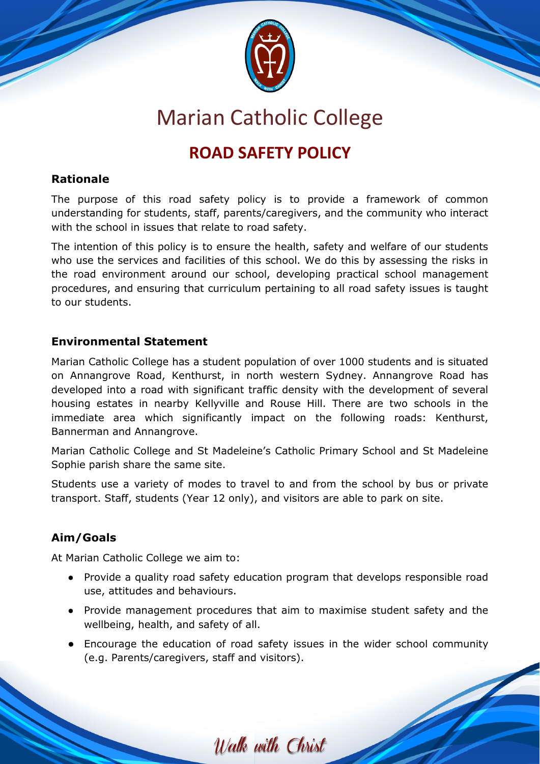

# Marian Catholic College

# **ROAD SAFETY POLICY**

## **Rationale**

The purpose of this road safety policy is to provide a framework of common understanding for students, staff, parents/caregivers, and the community who interact with the school in issues that relate to road safety.

The intention of this policy is to ensure the health, safety and welfare of our students who use the services and facilities of this school. We do this by assessing the risks in the road environment around our school, developing practical school management procedures, and ensuring that curriculum pertaining to all road safety issues is taught to our students.

# **Environmental Statement**

Marian Catholic College has a student population of over 1000 students and is situated on Annangrove Road, Kenthurst, in north western Sydney. Annangrove Road has developed into a road with significant traffic density with the development of several housing estates in nearby Kellyville and Rouse Hill. There are two schools in the immediate area which significantly impact on the following roads: Kenthurst, Bannerman and Annangrove.

Marian Catholic College and St Madeleine's Catholic Primary School and St Madeleine Sophie parish share the same site.

Students use a variety of modes to travel to and from the school by bus or private transport. Staff, students (Year 12 only), and visitors are able to park on site.

# **Aim/Goals**

At Marian Catholic College we aim to:

- Provide a quality road safety education program that develops responsible road use, attitudes and behaviours.
- Provide management procedures that aim to maximise student safety and the wellbeing, health, and safety of all.
- Encourage the education of road safety issues in the wider school community (e.g. Parents/caregivers, staff and visitors).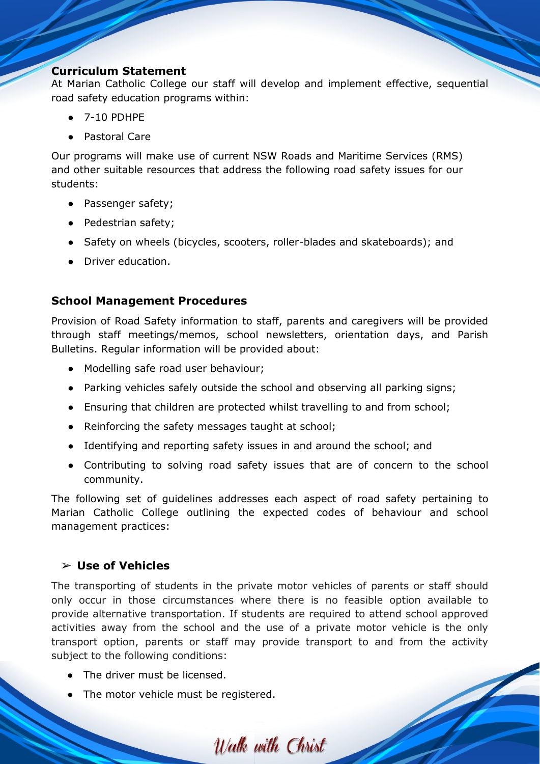#### **Curriculum Statement**

At Marian Catholic College our staff will develop and implement effective, sequential road safety education programs within:

- 7-10 PDHPE
- Pastoral Care

Our programs will make use of current NSW Roads and Maritime Services (RMS) and other suitable resources that address the following road safety issues for our students:

- Passenger safety;
- Pedestrian safety;
- Safety on wheels (bicycles, scooters, roller-blades and skateboards); and
- Driver education.

### **School Management Procedures**

Provision of Road Safety information to staff, parents and caregivers will be provided through staff meetings/memos, school newsletters, orientation days, and Parish Bulletins. Regular information will be provided about:

- Modelling safe road user behaviour;
- Parking vehicles safely outside the school and observing all parking signs;
- Ensuring that children are protected whilst travelling to and from school;
- Reinforcing the safety messages taught at school;
- Identifying and reporting safety issues in and around the school; and
- Contributing to solving road safety issues that are of concern to the school community.

The following set of guidelines addresses each aspect of road safety pertaining to Marian Catholic College outlining the expected codes of behaviour and school management practices:

### ➢ **Use of Vehicles**

The transporting of students in the private motor vehicles of parents or staff should only occur in those circumstances where there is no feasible option available to provide alternative transportation. If students are required to attend school approved activities away from the school and the use of a private motor vehicle is the only transport option, parents or staff may provide transport to and from the activity subject to the following conditions:

- The driver must be licensed.
- The motor vehicle must be registered.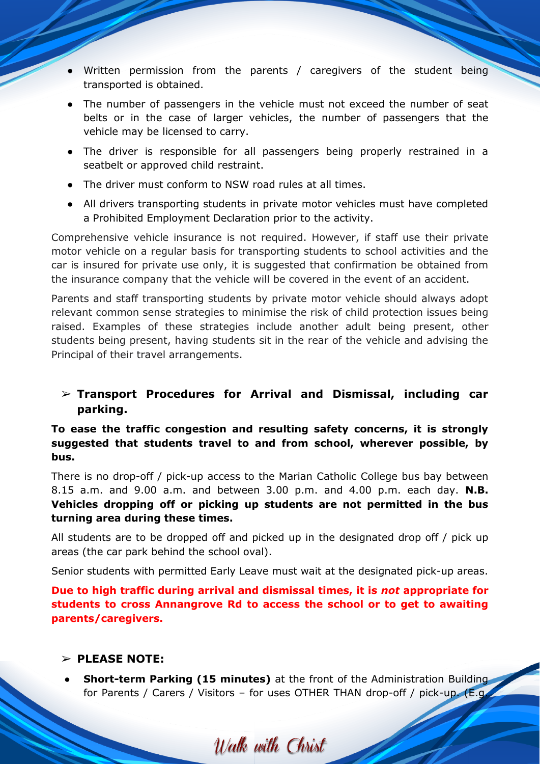- Written permission from the parents / caregivers of the student being transported is obtained.
- The number of passengers in the vehicle must not exceed the number of seat belts or in the case of larger vehicles, the number of passengers that the vehicle may be licensed to carry.
- The driver is responsible for all passengers being properly restrained in a seatbelt or approved child restraint.
- The driver must conform to NSW road rules at all times.
- All drivers transporting students in private motor vehicles must have completed a Prohibited Employment Declaration prior to the activity.

Comprehensive vehicle insurance is not required. However, if staff use their private motor vehicle on a regular basis for transporting students to school activities and the car is insured for private use only, it is suggested that confirmation be obtained from the insurance company that the vehicle will be covered in the event of an accident.

Parents and staff transporting students by private motor vehicle should always adopt relevant common sense strategies to minimise the risk of child protection issues being raised. Examples of these strategies include another adult being present, other students being present, having students sit in the rear of the vehicle and advising the Principal of their travel arrangements.

➢ **Transport Procedures for Arrival and Dismissal, including car parking.**

**To ease the traffic congestion and resulting safety concerns, it is strongly suggested that students travel to and from school, wherever possible, by bus.**

There is no drop-off / pick-up access to the Marian Catholic College bus bay between 8.15 a.m. and 9.00 a.m. and between 3.00 p.m. and 4.00 p.m. each day. **N.B. Vehicles dropping off or picking up students are not permitted in the bus turning area during these times.**

All students are to be dropped off and picked up in the designated drop off / pick up areas (the car park behind the school oval).

Senior students with permitted Early Leave must wait at the designated pick-up areas.

**Due to high traffic during arrival and dismissal times, it is** *not* **appropriate for students to cross Annangrove Rd to access the school or to get to awaiting parents/caregivers.**

#### ➢ **PLEASE NOTE:**

**Short-term Parking (15 minutes)** at the front of the Administration Building for Parents / Carers / Visitors – for uses OTHER THAN drop-off / pick-up. (E.g.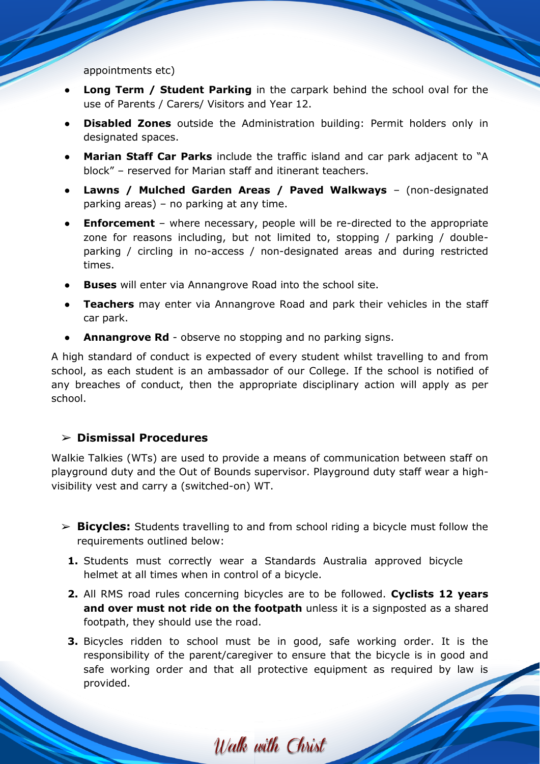appointments etc)

- **Long Term / Student Parking** in the carpark behind the school oval for the use of Parents / Carers/ Visitors and Year 12.
- **Disabled Zones** outside the Administration building: Permit holders only in designated spaces.
- **Marian Staff Car Parks** include the traffic island and car park adjacent to "A block" – reserved for Marian staff and itinerant teachers.
- **Lawns / Mulched Garden Areas / Paved Walkways**  (non-designated parking areas) – no parking at any time.
- **Enforcement**  where necessary, people will be re-directed to the appropriate zone for reasons including, but not limited to, stopping / parking / doubleparking / circling in no-access / non-designated areas and during restricted times.
- **Buses** will enter via Annangrove Road into the school site.
- **Teachers** may enter via Annangrove Road and park their vehicles in the staff car park.
- Annangrove Rd observe no stopping and no parking signs.

A high standard of conduct is expected of every student whilst travelling to and from school, as each student is an ambassador of our College. If the school is notified of any breaches of conduct, then the appropriate disciplinary action will apply as per school.

#### ➢ **Dismissal Procedures**

Walkie Talkies (WTs) are used to provide a means of communication between staff on playground duty and the Out of Bounds supervisor. Playground duty staff wear a highvisibility vest and carry a (switched-on) WT.

- ➢ **Bicycles:** Students travelling to and from school riding a bicycle must follow the requirements outlined below:
	- **1.** Students must correctly wear a Standards Australia approved bicycle helmet at all times when in control of a bicycle.
	- **2.** All RMS road rules concerning bicycles are to be followed. **Cyclists 12 years and over must not ride on the footpath** unless it is a signposted as a shared footpath, they should use the road.
	- **3.** Bicycles ridden to school must be in good, safe working order. It is the responsibility of the parent/caregiver to ensure that the bicycle is in good and safe working order and that all protective equipment as required by law is provided.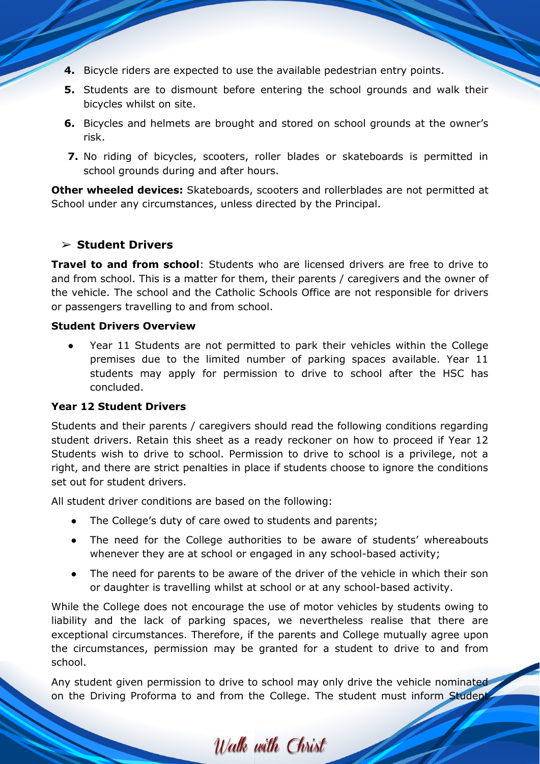- **4.** Bicycle riders are expected to use the available pedestrian entry points.
- **5.** Students are to dismount before entering the school grounds and walk their bicycles whilst on site.
- **6.** Bicycles and helmets are brought and stored on school grounds at the owner's risk.
- **7.** No riding of bicycles, scooters, roller blades or skateboards is permitted in school grounds during and after hours.

**Other wheeled devices:** Skateboards, scooters and rollerblades are not permitted at School under any circumstances, unless directed by the Principal.

#### ➢ **Student Drivers**

**Travel to and from school**: Students who are licensed drivers are free to drive to and from school. This is a matter for them, their parents / caregivers and the owner of the vehicle. The school and the Catholic Schools Office are not responsible for drivers or passengers travelling to and from school.

#### **Student Drivers Overview**

● Year 11 Students are not permitted to park their vehicles within the College premises due to the limited number of parking spaces available. Year 11 students may apply for permission to drive to school after the HSC has concluded.

#### **Year 12 Student Drivers**

Students and their parents / caregivers should read the following conditions regarding student drivers. Retain this sheet as a ready reckoner on how to proceed if Year 12 Students wish to drive to school. Permission to drive to school is a privilege, not a right, and there are strict penalties in place if students choose to ignore the conditions set out for student drivers.

All student driver conditions are based on the following:

- The College's duty of care owed to students and parents;
- The need for the College authorities to be aware of students' whereabouts whenever they are at school or engaged in any school-based activity;
- The need for parents to be aware of the driver of the vehicle in which their son or daughter is travelling whilst at school or at any school-based activity.

While the College does not encourage the use of motor vehicles by students owing to liability and the lack of parking spaces, we nevertheless realise that there are exceptional circumstances. Therefore, if the parents and College mutually agree upon the circumstances, permission may be granted for a student to drive to and from school.

Any student given permission to drive to school may only drive the vehicle nominated on the Driving Proforma to and from the College. The student must inform Student